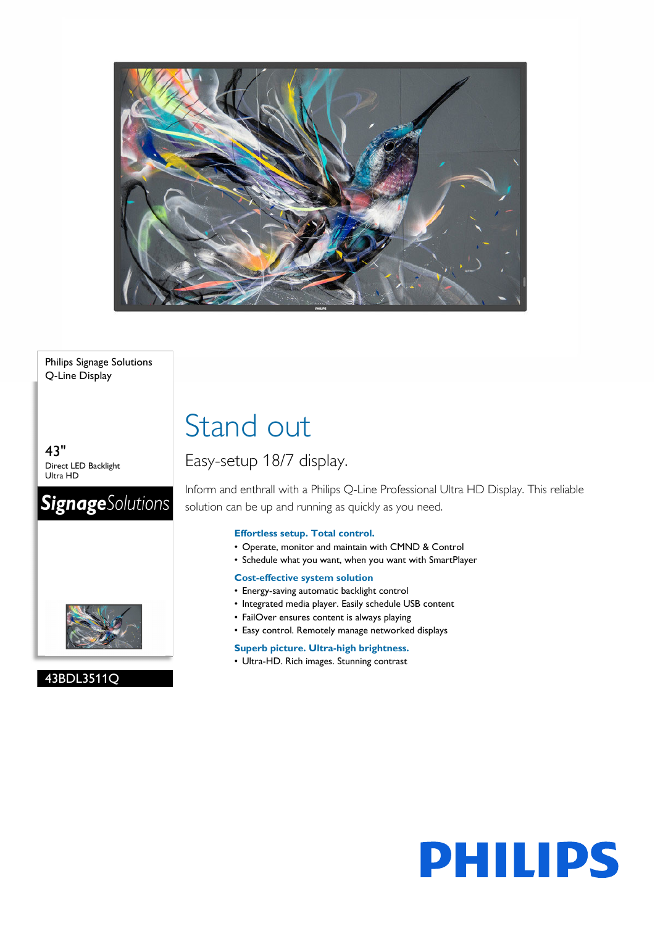

### Philips Signage Solutions Q-Line Display

43" Direct LED Backlight Ultra HD

### **SignageSolutions**



### 43BDL3511Q

# Stand out

### Easy-setup 18/7 display.

Inform and enthrall with a Philips Q-Line Professional Ultra HD Display. This reliable solution can be up and running as quickly as you need.

### **Effortless setup. Total control.**

- Operate, monitor and maintain with CMND & Control
- Schedule what you want, when you want with SmartPlayer

### **Cost-effective system solution**

- Energy-saving automatic backlight control
- Integrated media player. Easily schedule USB content
- FailOver ensures content is always playing
- Easy control. Remotely manage networked displays

### **Superb picture. Ultra-high brightness.**

• Ultra-HD. Rich images. Stunning contrast

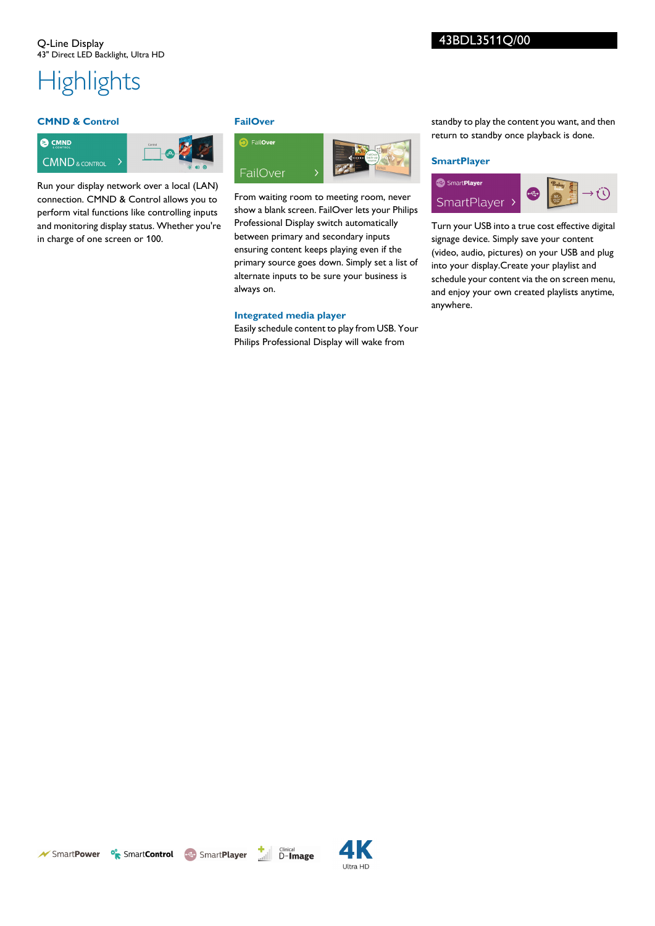# **Highlights**

### **CMND & Control**



Run your display network over a local (LAN) connection. CMND & Control allows you to perform vital functions like controlling inputs and monitoring display status. Whether you're in charge of one screen or 100.

### **FailOver**



From waiting room to meeting room, never show a blank screen. FailOver lets your Philips Professional Display switch automatically between primary and secondary inputs ensuring content keeps playing even if the primary source goes down. Simply set a list of alternate inputs to be sure your business is always on.

### **Integrated media player**

Easily schedule content to play from USB. Your Philips Professional Display will wake from

standby to play the content you want, and then return to standby once playback is done.

### **SmartPlayer**



Turn your USB into a true cost effective digital signage device. Simply save your content (video, audio, pictures) on your USB and plug into your display.Create your playlist and schedule your content via the on screen menu, and enjoy your own created playlists anytime, anywhere.